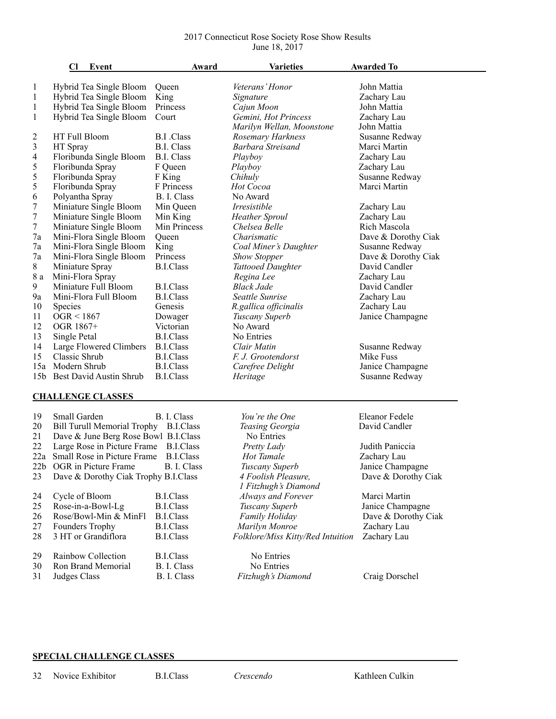## 2017 Connecticut Rose Society Rose Show Results June 18, 2017

|                          | Cl<br>Event                           | Award             | <b>Varieties</b>                  | <b>Awarded To</b>   |  |  |  |
|--------------------------|---------------------------------------|-------------------|-----------------------------------|---------------------|--|--|--|
|                          |                                       |                   |                                   |                     |  |  |  |
| $\mathbf{1}$             | Hybrid Tea Single Bloom               | Queen             | Veterans' Honor                   | John Mattia         |  |  |  |
| $\mathbf{1}$             | Hybrid Tea Single Bloom               | King              | Signature                         | Zachary Lau         |  |  |  |
| $\mathbf{1}$             | Hybrid Tea Single Bloom               | Princess          | Cajun Moon                        | John Mattia         |  |  |  |
| $\mathbf{1}$             | Hybrid Tea Single Bloom               | Court             | Gemini, Hot Princess              | Zachary Lau         |  |  |  |
|                          |                                       |                   | Marilyn Wellan, Moonstone         | John Mattia         |  |  |  |
| $\overline{\mathbf{c}}$  | HT Full Bloom                         | <b>B.I</b> .Class | Rosemary Harkness                 | Susanne Redway      |  |  |  |
| 3                        | HT Spray                              | <b>B.I. Class</b> | Barbara Streisand                 | Marci Martin        |  |  |  |
| 4                        | Floribunda Single Bloom               | <b>B.I. Class</b> | Playboy                           | Zachary Lau         |  |  |  |
| 5                        | Floribunda Spray                      | F Queen           | Playboy                           | Zachary Lau         |  |  |  |
| 5                        | Floribunda Spray                      | F King            | Chihuly                           | Susanne Redway      |  |  |  |
| 5                        | Floribunda Spray                      | F Princess        | Hot Cocoa                         | Marci Martin        |  |  |  |
| 6                        | Polyantha Spray                       | B. I. Class       | No Award                          |                     |  |  |  |
| 7                        | Miniature Single Bloom                | Min Queen         | Irresistible                      | Zachary Lau         |  |  |  |
| 7                        | Miniature Single Bloom                | Min King          | <b>Heather Sproul</b>             | Zachary Lau         |  |  |  |
| 7                        | Miniature Single Bloom                | Min Princess      | Chelsea Belle                     | Rich Mascola        |  |  |  |
| 7a                       | Mini-Flora Single Bloom               | Queen             | Charismatic                       | Dave & Dorothy Ciak |  |  |  |
| 7a                       | Mini-Flora Single Bloom               | King              | Coal Miner's Daughter             | Susanne Redway      |  |  |  |
| 7a                       | Mini-Flora Single Bloom               | Princess          | <b>Show Stopper</b>               | Dave & Dorothy Ciak |  |  |  |
| 8                        | Miniature Spray                       | <b>B.I.Class</b>  | <b>Tattooed Daughter</b>          | David Candler       |  |  |  |
| 8 a                      | Mini-Flora Spray                      |                   | Regina Lee                        | Zachary Lau         |  |  |  |
| 9                        | Miniature Full Bloom                  | <b>B.I.Class</b>  | <b>Black Jade</b>                 | David Candler       |  |  |  |
| 9a                       | Mini-Flora Full Bloom                 | <b>B.I.Class</b>  | Seattle Sunrise                   | Zachary Lau         |  |  |  |
| 10                       | Species                               | Genesis           | R.gallica officinalis             | Zachary Lau         |  |  |  |
| 11                       | OGR < 1867                            | Dowager           | Tuscany Superb                    | Janice Champagne    |  |  |  |
| 12                       | OGR 1867+                             | Victorian         | No Award                          |                     |  |  |  |
| 13                       | Single Petal                          | <b>B.I.Class</b>  | No Entries                        |                     |  |  |  |
| 14                       | Large Flowered Climbers               | <b>B.I.Class</b>  | Clair Matin                       | Susanne Redway      |  |  |  |
| 15                       | Classic Shrub                         | <b>B.I.Class</b>  | F. J. Grootendorst                | Mike Fuss           |  |  |  |
|                          | 15a Modern Shrub                      | <b>B.I.Class</b>  | Carefree Delight                  | Janice Champagne    |  |  |  |
|                          | 15b Best David Austin Shrub           | <b>B.I.Class</b>  | Heritage                          | Susanne Redway      |  |  |  |
|                          |                                       |                   |                                   |                     |  |  |  |
| <b>CHALLENGE CLASSES</b> |                                       |                   |                                   |                     |  |  |  |
| 19                       | Small Garden                          | B. I. Class       | You're the One                    | Eleanor Fedele      |  |  |  |
| 20                       | Bill Turull Memorial Trophy B.I.Class |                   | Teasing Georgia                   | David Candler       |  |  |  |
| 21                       | Dave & June Berg Rose Bowl B.I.Class  |                   | No Entries                        |                     |  |  |  |
| 22                       | Large Rose in Picture Frame           | B.I.Class         | Pretty Lady                       | Judith Paniccia     |  |  |  |
|                          | 22a Small Rose in Picture Frame       | <b>B.I.Class</b>  | Hot Tamale                        | Zachary Lau         |  |  |  |
| 22b                      | OGR in Picture Frame                  | B. I. Class       | Tuscany Superb                    | Janice Champagne    |  |  |  |
| 23                       | Dave & Dorothy Ciak Trophy B.I.Class  |                   | 4 Foolish Pleasure,               | Dave & Dorothy Ciak |  |  |  |
|                          |                                       |                   | 1 Fitzhugh's Diamond              |                     |  |  |  |
| 24                       | Cycle of Bloom                        | <b>B.I.Class</b>  | Always and Forever                | Marci Martin        |  |  |  |
| 25                       | Rose-in-a-Bowl-Lg                     | <b>B.I.Class</b>  | Tuscany Superb                    | Janice Champagne    |  |  |  |
| 26                       | Rose/Bowl-Min & MinFl                 | <b>B.I.Class</b>  | Family Holiday                    | Dave & Dorothy Ciak |  |  |  |
| 27                       | Founders Trophy                       | <b>B.I.Class</b>  | Marilyn Monroe                    | Zachary Lau         |  |  |  |
| 28                       | 3 HT or Grandiflora                   | <b>B.I.Class</b>  | Folklore/Miss Kitty/Red Intuition | Zachary Lau         |  |  |  |
|                          |                                       |                   |                                   |                     |  |  |  |
| 29                       | Rainbow Collection                    | <b>B.I.Class</b>  | No Entries                        |                     |  |  |  |
| 30                       | Ron Brand Memorial                    | B. I. Class       | No Entries                        |                     |  |  |  |
| 31                       | Judges Class                          | B. I. Class       | Fitzhugh's Diamond                | Craig Dorschel      |  |  |  |
|                          |                                       |                   |                                   |                     |  |  |  |
|                          |                                       |                   |                                   |                     |  |  |  |

## **SPECIAL CHALLENGE CLASSES**